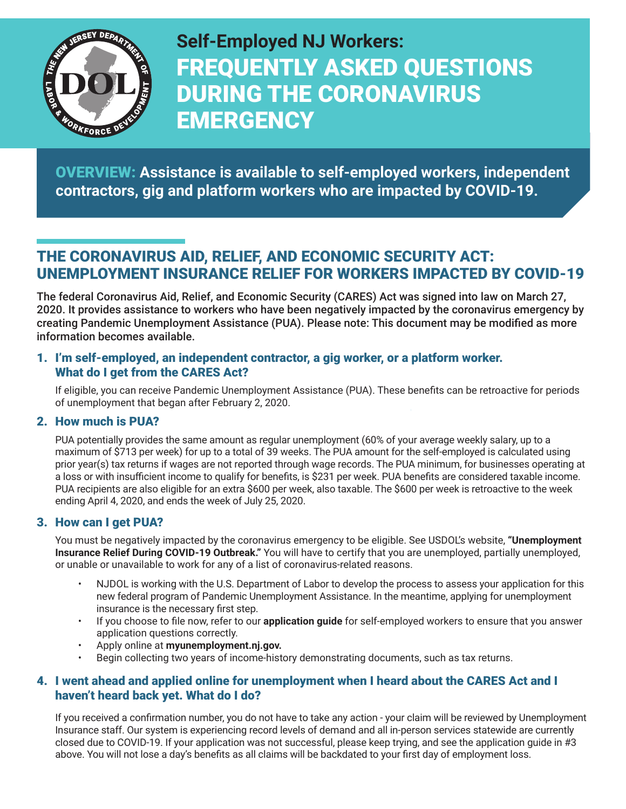

**Self-Employed NJ Workers:** FREQUENTLY ASKED QUESTIONS DURING THE CORONAVIRUS **EMERGENCY** 

OVERVIEW: **Assistance is available to self-employed workers, independent contractors, gig and platform workers who are impacted by COVID-19.**

# THE CORONAVIRUS AID, RELIEF, AND ECONOMIC SECURITY ACT: UNEMPLOYMENT INSURANCE RELIEF FOR WORKERS IMPACTED BY COVID-19

The federal Coronavirus Aid, Relief, and Economic Security (CARES) Act was signed into law on March 27, 2020. It provides assistance to workers who have been negatively impacted by the coronavirus emergency by creating Pandemic Unemployment Assistance (PUA). Please note: This document may be modified as more information becomes available.

#### 1. I'm self-employed, an independent contractor, a gig worker, or a platform worker. What do I get from the CARES Act?

If eligible, you can receive Pandemic Unemployment Assistance (PUA). These benefits can be retroactive for periods of unemployment that began after February 2, 2020.

### 2. How much is PUA?

PUA potentially provides the same amount as regular unemployment (60% of your average weekly salary, up to a maximum of \$713 per week) for up to a total of 39 weeks. The PUA amount for the self-employed is calculated using prior year(s) tax returns if wages are not reported through wage records. The PUA minimum, for businesses operating at a loss or with insufficient income to qualify for benefits, is \$231 per week. PUA benefits are considered taxable income. PUA recipients are also eligible for an extra \$600 per week, also taxable. The \$600 per week is retroactive to the week ending April 4, 2020, and ends the week of July 25, 2020.

### 3. How can I get PUA?

You must be negatively impacted by the coronavirus emergency to be eligible. See USDOL's website, **["Unemployment](https://www.dol.gov/coronavirus/unemployment-insurance)  [Insurance Relief During COVID-19 Outbreak."](https://www.dol.gov/coronavirus/unemployment-insurance)** You will have to certify that you are unemployed, partially unemployed, or unable or unavailable to work for any of a list of coronavirus-related reasons.

- NJDOL is working with the U.S. Department of Labor to develop the process to assess your application for this new federal program of Pandemic Unemployment Assistance. In the meantime, applying for unemployment insurance is the necessary first step.
- If you choose to file now, refer to our **[application guide](https://myunemployment.nj.gov/assets/pdfs/UI_process_selfemployed.pdf)** for self-employed workers to ensure that you answer application questions correctly.
- Apply online at **[myunemployment.nj.gov.](https://myunemployment.nj.gov)**
- Begin collecting two years of income-history demonstrating documents, such as tax returns.

#### 4. I went ahead and applied online for unemployment when I heard about the CARES Act and I haven't heard back yet. What do I do?

If you received a confirmation number, you do not have to take any action - your claim will be reviewed by Unemployment Insurance staff. Our system is experiencing record levels of demand and all in-person services statewide are currently closed due to COVID-19. If your application was not successful, please keep trying, and see the application guide in #3 above. You will not lose a day's benefits as all claims will be backdated to your first day of employment loss.